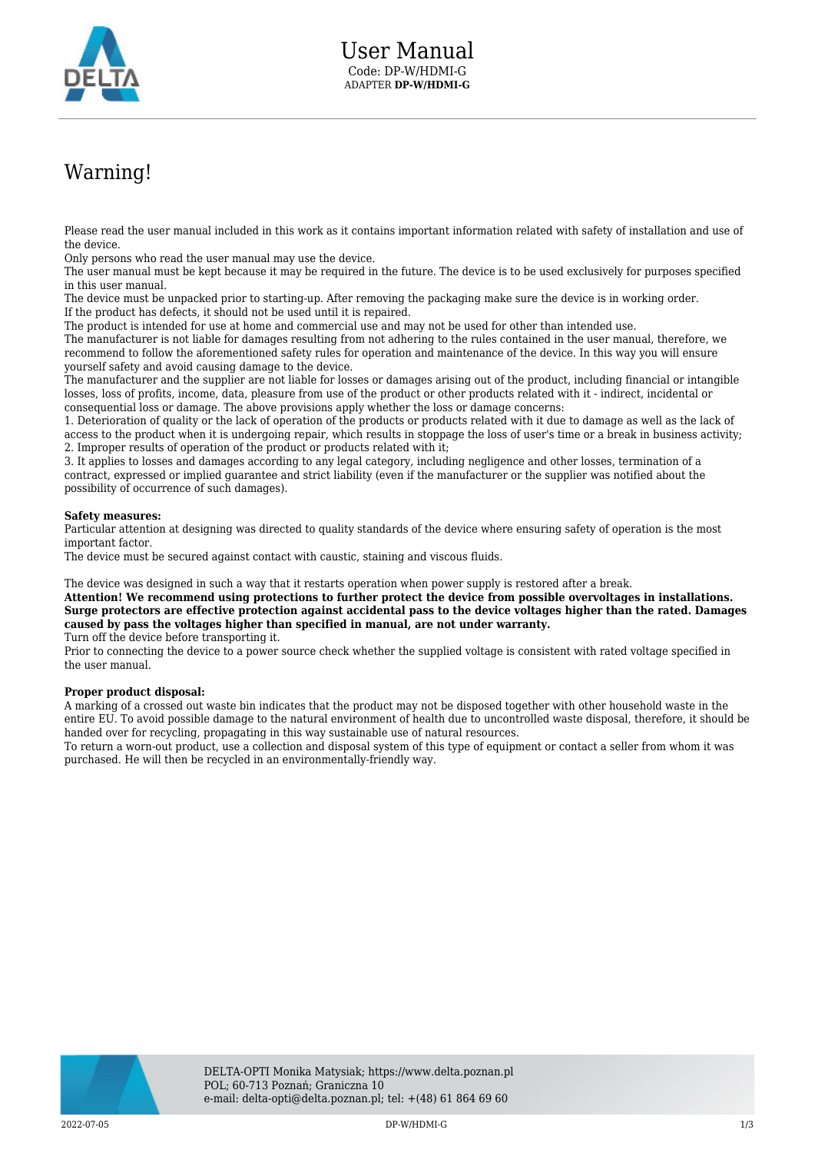

## Warning!

Please read the user manual included in this work as it contains important information related with safety of installation and use of the device.

Only persons who read the user manual may use the device.

The user manual must be kept because it may be required in the future. The device is to be used exclusively for purposes specified in this user manual.

The device must be unpacked prior to starting-up. After removing the packaging make sure the device is in working order. If the product has defects, it should not be used until it is repaired.

The product is intended for use at home and commercial use and may not be used for other than intended use.

The manufacturer is not liable for damages resulting from not adhering to the rules contained in the user manual, therefore, we recommend to follow the aforementioned safety rules for operation and maintenance of the device. In this way you will ensure yourself safety and avoid causing damage to the device.

The manufacturer and the supplier are not liable for losses or damages arising out of the product, including financial or intangible losses, loss of profits, income, data, pleasure from use of the product or other products related with it - indirect, incidental or consequential loss or damage. The above provisions apply whether the loss or damage concerns:

1. Deterioration of quality or the lack of operation of the products or products related with it due to damage as well as the lack of access to the product when it is undergoing repair, which results in stoppage the loss of user's time or a break in business activity; 2. Improper results of operation of the product or products related with it;

3. It applies to losses and damages according to any legal category, including negligence and other losses, termination of a contract, expressed or implied guarantee and strict liability (even if the manufacturer or the supplier was notified about the possibility of occurrence of such damages).

## **Safety measures:**

Particular attention at designing was directed to quality standards of the device where ensuring safety of operation is the most important factor.

The device must be secured against contact with caustic, staining and viscous fluids.

The device was designed in such a way that it restarts operation when power supply is restored after a break.

**Attention! We recommend using protections to further protect the device from possible overvoltages in installations. Surge protectors are effective protection against accidental pass to the device voltages higher than the rated. Damages caused by pass the voltages higher than specified in manual, are not under warranty.** Turn off the device before transporting it.

Prior to connecting the device to a power source check whether the supplied voltage is consistent with rated voltage specified in the user manual.

## **Proper product disposal:**

A marking of a crossed out waste bin indicates that the product may not be disposed together with other household waste in the entire EU. To avoid possible damage to the natural environment of health due to uncontrolled waste disposal, therefore, it should be handed over for recycling, propagating in this way sustainable use of natural resources.

To return a worn-out product, use a collection and disposal system of this type of equipment or contact a seller from whom it was purchased. He will then be recycled in an environmentally-friendly way.

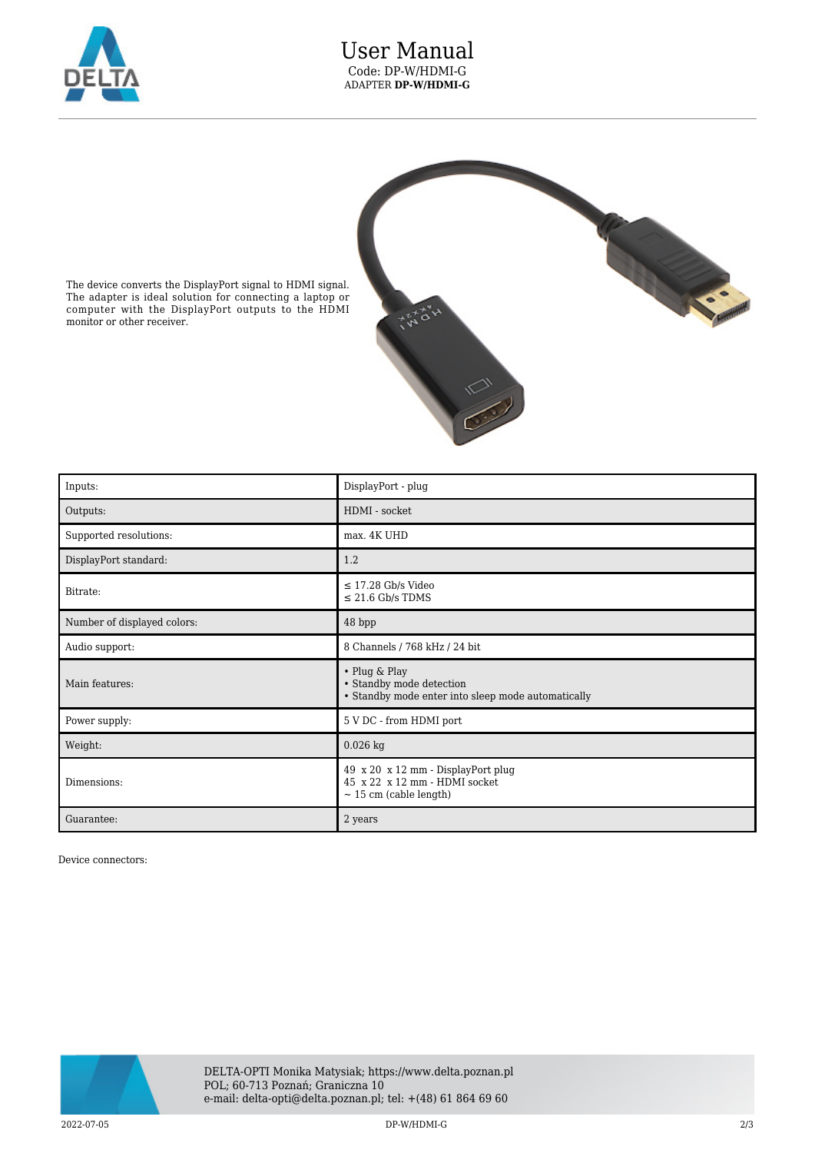

## User Manual Code: DP-W/HDMI-G ADAPTER **DP-W/HDMI-G**



The device converts the DisplayPort signal to HDMI signal. The adapter is ideal solution for connecting a laptop or computer with the DisplayPort outputs to the HDMI monitor or other receiver.

| Inputs:                     | DisplayPort - plug                                                                                 |
|-----------------------------|----------------------------------------------------------------------------------------------------|
| Outputs:                    | HDMI - socket                                                                                      |
| Supported resolutions:      | max. 4K UHD                                                                                        |
| DisplayPort standard:       | 1.2                                                                                                |
| Bitrate:                    | $\leq$ 17.28 Gb/s Video<br>$\leq$ 21.6 Gb/s TDMS                                                   |
| Number of displayed colors: | 48 bpp                                                                                             |
| Audio support:              | 8 Channels / 768 kHz / 24 bit                                                                      |
| Main features:              | • Plug & Play<br>• Standby mode detection<br>• Standby mode enter into sleep mode automatically    |
| Power supply:               | 5 V DC - from HDMI port                                                                            |
| Weight:                     | $0.026$ kg                                                                                         |
| Dimensions:                 | 49 x 20 x 12 mm - DisplayPort plug<br>45 x 22 x 12 mm - HDMI socket<br>$\sim$ 15 cm (cable length) |
| Guarantee:                  | 2 years                                                                                            |

Device connectors:



2022-07-05 DP-W/HDMI-G 2/3